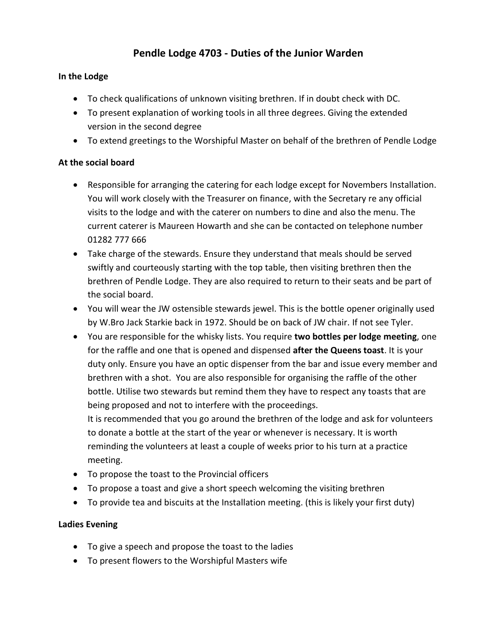# **Pendle Lodge 4703 - Duties of the Junior Warden**

# **In the Lodge**

- To check qualifications of unknown visiting brethren. If in doubt check with DC.
- To present explanation of working tools in all three degrees. Giving the extended version in the second degree
- To extend greetings to the Worshipful Master on behalf of the brethren of Pendle Lodge

## **At the social board**

- Responsible for arranging the catering for each lodge except for Novembers Installation. You will work closely with the Treasurer on finance, with the Secretary re any official visits to the lodge and with the caterer on numbers to dine and also the menu. The current caterer is Maureen Howarth and she can be contacted on telephone number 01282 777 666
- Take charge of the stewards. Ensure they understand that meals should be served swiftly and courteously starting with the top table, then visiting brethren then the brethren of Pendle Lodge. They are also required to return to their seats and be part of the social board.
- You will wear the JW ostensible stewards jewel. This is the bottle opener originally used by W.Bro Jack Starkie back in 1972. Should be on back of JW chair. If not see Tyler.
- You are responsible for the whisky lists. You require **two bottles per lodge meeting**, one for the raffle and one that is opened and dispensed **after the Queens toast**. It is your duty only. Ensure you have an optic dispenser from the bar and issue every member and brethren with a shot. You are also responsible for organising the raffle of the other bottle. Utilise two stewards but remind them they have to respect any toasts that are being proposed and not to interfere with the proceedings. It is recommended that you go around the brethren of the lodge and ask for volunteers to donate a bottle at the start of the year or whenever is necessary. It is worth reminding the volunteers at least a couple of weeks prior to his turn at a practice meeting.
- To propose the toast to the Provincial officers
- To propose a toast and give a short speech welcoming the visiting brethren
- To provide tea and biscuits at the Installation meeting. (this is likely your first duty)

## **Ladies Evening**

- To give a speech and propose the toast to the ladies
- To present flowers to the Worshipful Masters wife